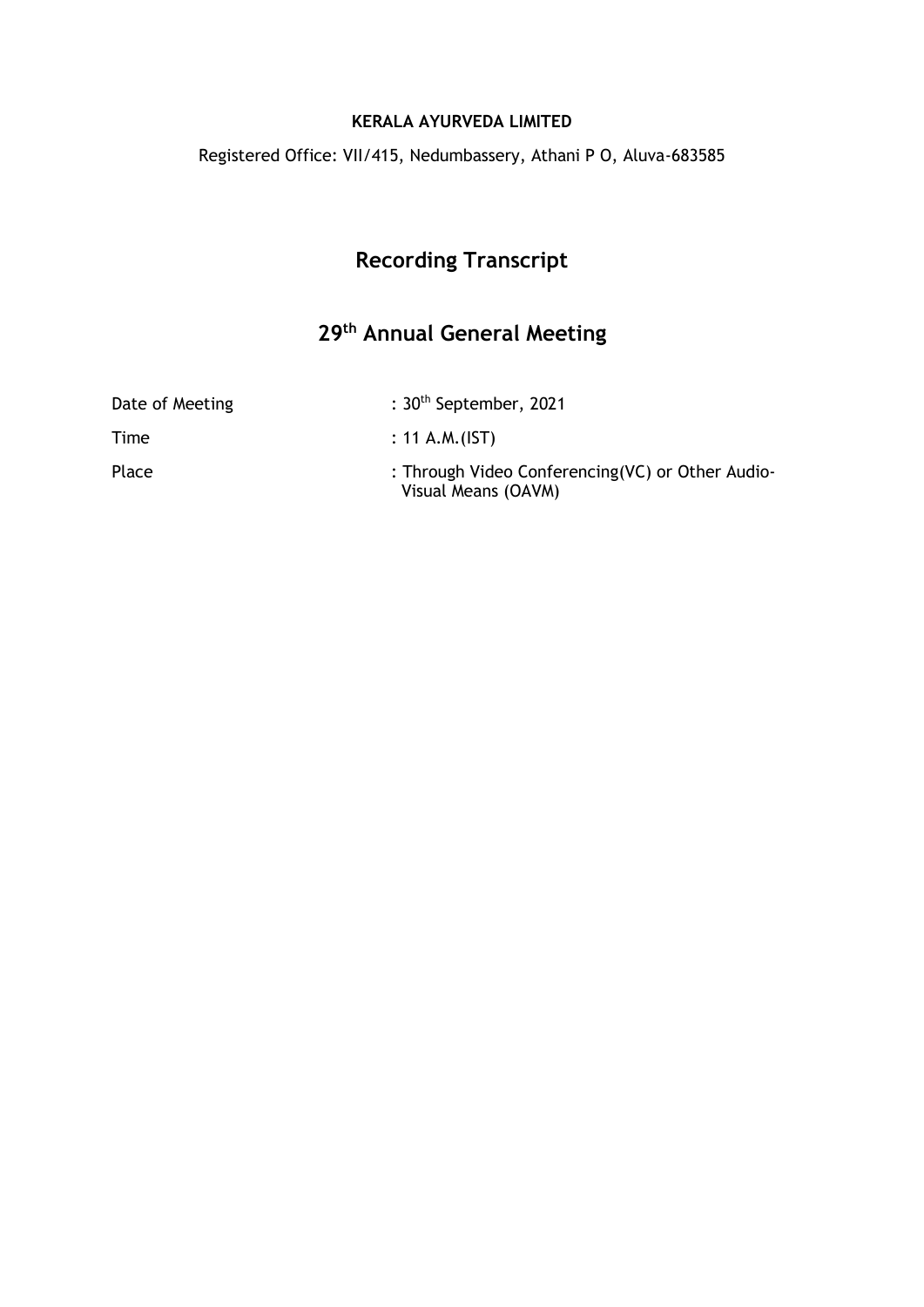#### **KERALA AYURVEDA LIMITED**

Registered Office: VII/415, Nedumbassery, Athani P O, Aluva-683585

# **Recording Transcript**

# **29th Annual General Meeting**

| Date of Meeting | : $30th$ September, 2021                                                |
|-----------------|-------------------------------------------------------------------------|
| Time            | : 11 A.M.(IST)                                                          |
| Place           | : Through Video Conferencing(VC) or Other Audio-<br>Visual Means (OAVM) |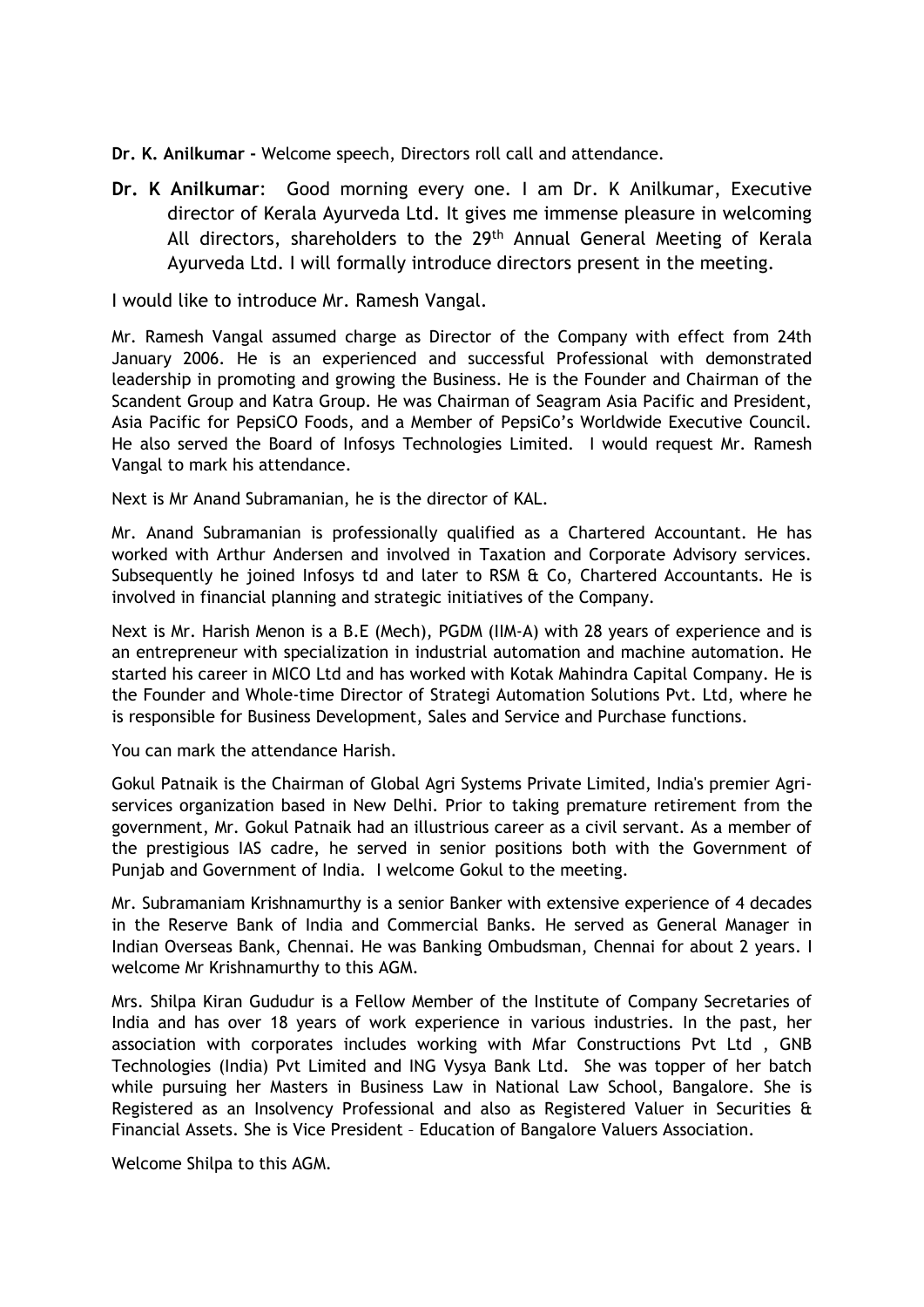**Dr. K. Anilkumar -** Welcome speech, Directors roll call and attendance.

**Dr. K Anilkumar**: Good morning every one. I am Dr. K Anilkumar, Executive director of Kerala Ayurveda Ltd. It gives me immense pleasure in welcoming All directors, shareholders to the 29<sup>th</sup> Annual General Meeting of Kerala Ayurveda Ltd. I will formally introduce directors present in the meeting.

I would like to introduce Mr. Ramesh Vangal.

Mr. Ramesh Vangal assumed charge as Director of the Company with effect from 24th January 2006. He is an experienced and successful Professional with demonstrated leadership in promoting and growing the Business. He is the Founder and Chairman of the Scandent Group and Katra Group. He was Chairman of Seagram Asia Pacific and President, Asia Pacific for PepsiCO Foods, and a Member of PepsiCo's Worldwide Executive Council. He also served the Board of Infosys Technologies Limited. I would request Mr. Ramesh Vangal to mark his attendance.

Next is Mr Anand Subramanian, he is the director of KAL.

Mr. Anand Subramanian is professionally qualified as a Chartered Accountant. He has worked with Arthur Andersen and involved in Taxation and Corporate Advisory services. Subsequently he joined Infosys td and later to RSM  $\&$  Co, Chartered Accountants. He is involved in financial planning and strategic initiatives of the Company.

Next is Mr. Harish Menon is a B.E (Mech), PGDM (IIM-A) with 28 years of experience and is an entrepreneur with specialization in industrial automation and machine automation. He started his career in MICO Ltd and has worked with Kotak Mahindra Capital Company. He is the Founder and Whole-time Director of Strategi Automation Solutions Pvt. Ltd, where he is responsible for Business Development, Sales and Service and Purchase functions.

You can mark the attendance Harish.

Gokul Patnaik is the Chairman of Global Agri Systems Private Limited, India's premier Agriservices organization based in New Delhi. Prior to taking premature retirement from the government, Mr. Gokul Patnaik had an illustrious career as a civil servant. As a member of the prestigious IAS cadre, he served in senior positions both with the Government of Punjab and Government of India. I welcome Gokul to the meeting.

Mr. Subramaniam Krishnamurthy is a senior Banker with extensive experience of 4 decades in the Reserve Bank of India and Commercial Banks. He served as General Manager in Indian Overseas Bank, Chennai. He was Banking Ombudsman, Chennai for about 2 years. I welcome Mr Krishnamurthy to this AGM.

Mrs. Shilpa Kiran Gududur is a Fellow Member of the Institute of Company Secretaries of India and has over 18 years of work experience in various industries. In the past, her association with corporates includes working with Mfar Constructions Pvt Ltd , GNB Technologies (India) Pvt Limited and ING Vysya Bank Ltd. She was topper of her batch while pursuing her Masters in Business Law in National Law School, Bangalore. She is Registered as an Insolvency Professional and also as Registered Valuer in Securities & Financial Assets. She is Vice President – Education of Bangalore Valuers Association.

Welcome Shilpa to this AGM.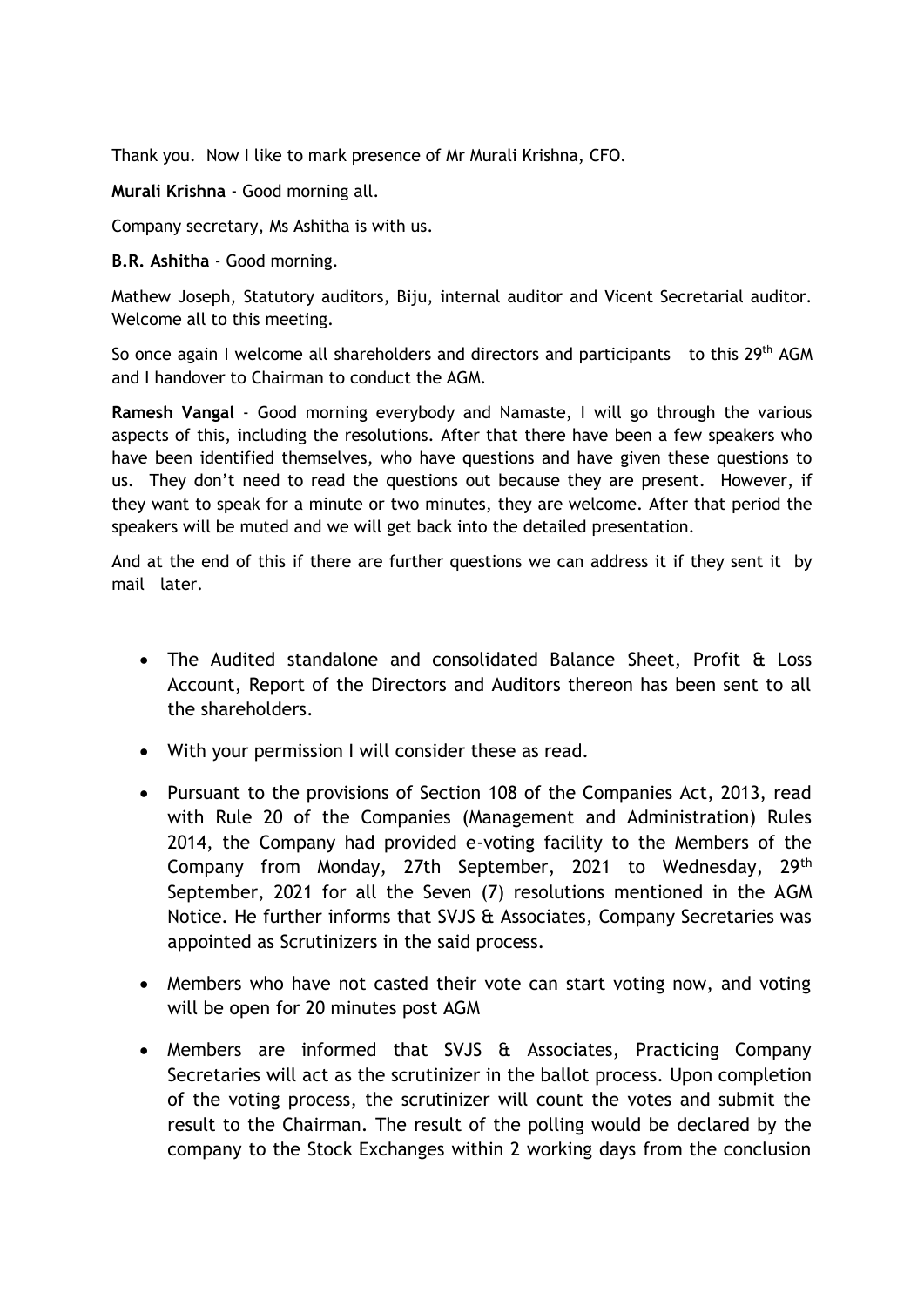Thank you. Now I like to mark presence of Mr Murali Krishna, CFO.

**Murali Krishna** - Good morning all.

Company secretary, Ms Ashitha is with us.

**B.R. Ashitha** - Good morning.

Mathew Joseph, Statutory auditors, Biju, internal auditor and Vicent Secretarial auditor. Welcome all to this meeting.

So once again I welcome all shareholders and directors and participants to this 29<sup>th</sup> AGM and I handover to Chairman to conduct the AGM.

**Ramesh Vangal** - Good morning everybody and Namaste, I will go through the various aspects of this, including the resolutions. After that there have been a few speakers who have been identified themselves, who have questions and have given these questions to us. They don't need to read the questions out because they are present. However, if they want to speak for a minute or two minutes, they are welcome. After that period the speakers will be muted and we will get back into the detailed presentation.

And at the end of this if there are further questions we can address it if they sent it by mail later.

- The Audited standalone and consolidated Balance Sheet, Profit & Loss Account, Report of the Directors and Auditors thereon has been sent to all the shareholders.
- With your permission I will consider these as read.
- Pursuant to the provisions of Section 108 of the Companies Act, 2013, read with Rule 20 of the Companies (Management and Administration) Rules 2014, the Company had provided e-voting facility to the Members of the Company from Monday, 27th September, 2021 to Wednesday, 29th September, 2021 for all the Seven (7) resolutions mentioned in the AGM Notice. He further informs that SVJS & Associates, Company Secretaries was appointed as Scrutinizers in the said process.
- Members who have not casted their vote can start voting now, and voting will be open for 20 minutes post AGM
- Members are informed that SVJS & Associates, Practicing Company Secretaries will act as the scrutinizer in the ballot process. Upon completion of the voting process, the scrutinizer will count the votes and submit the result to the Chairman. The result of the polling would be declared by the company to the Stock Exchanges within 2 working days from the conclusion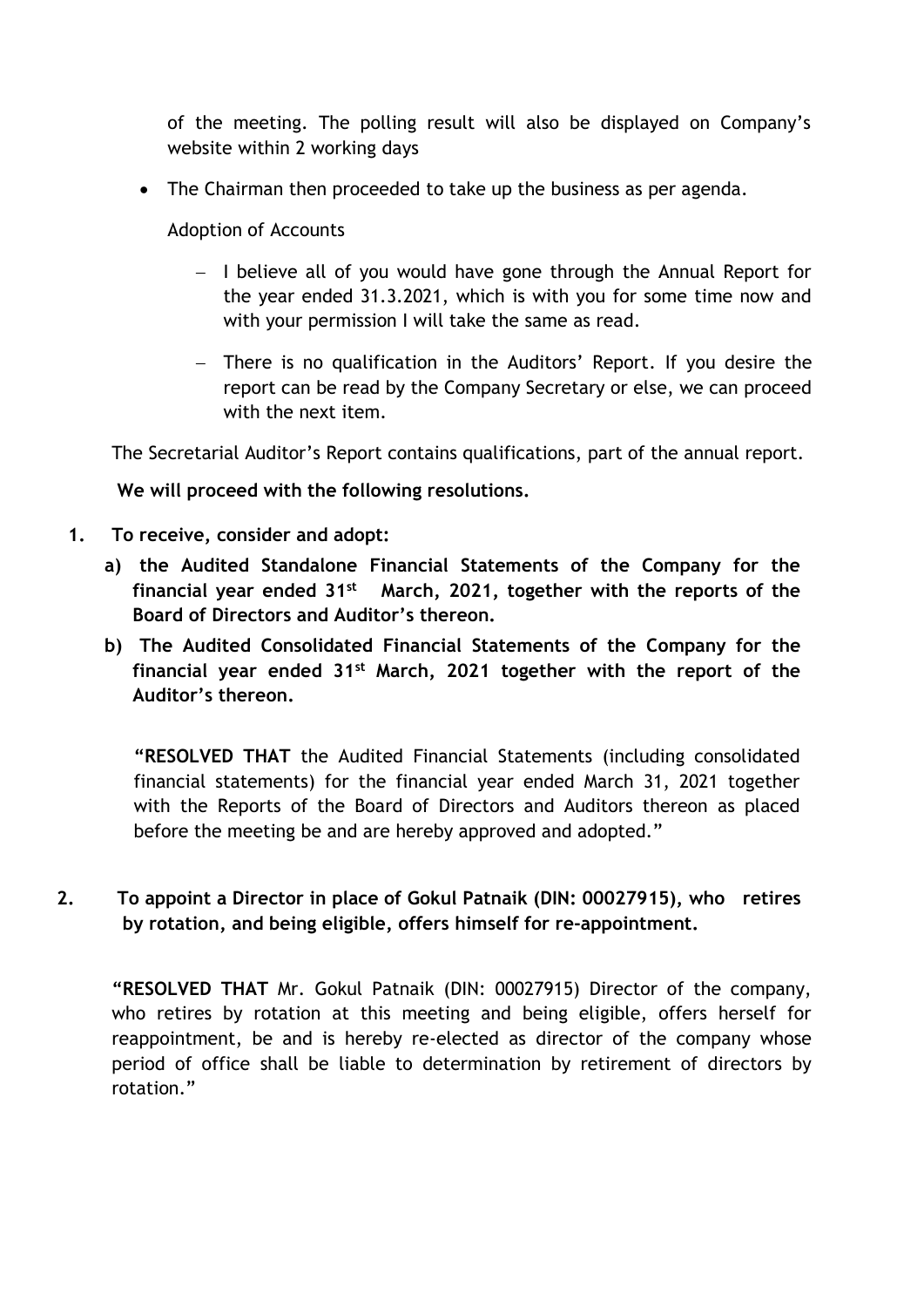of the meeting. The polling result will also be displayed on Company's website within 2 working days

• The Chairman then proceeded to take up the business as per agenda.

Adoption of Accounts

- − I believe all of you would have gone through the Annual Report for the year ended 31.3.2021, which is with you for some time now and with your permission I will take the same as read.
- − There is no qualification in the Auditors' Report. If you desire the report can be read by the Company Secretary or else, we can proceed with the next item.

The Secretarial Auditor's Report contains qualifications, part of the annual report.

**We will proceed with the following resolutions.**

- **1. To receive, consider and adopt:**
	- **a) the Audited Standalone Financial Statements of the Company for the financial year ended 31st March, 2021, together with the reports of the Board of Directors and Auditor's thereon.**
	- **b) The Audited Consolidated Financial Statements of the Company for the financial year ended 31st March, 2021 together with the report of the Auditor's thereon.**

**"RESOLVED THAT** the Audited Financial Statements (including consolidated financial statements) for the financial year ended March 31, 2021 together with the Reports of the Board of Directors and Auditors thereon as placed before the meeting be and are hereby approved and adopted."

### **2. To appoint a Director in place of Gokul Patnaik (DIN: 00027915), who retires by rotation, and being eligible, offers himself for re-appointment.**

**"RESOLVED THAT** Mr. Gokul Patnaik (DIN: 00027915) Director of the company, who retires by rotation at this meeting and being eligible, offers herself for reappointment, be and is hereby re-elected as director of the company whose period of office shall be liable to determination by retirement of directors by rotation."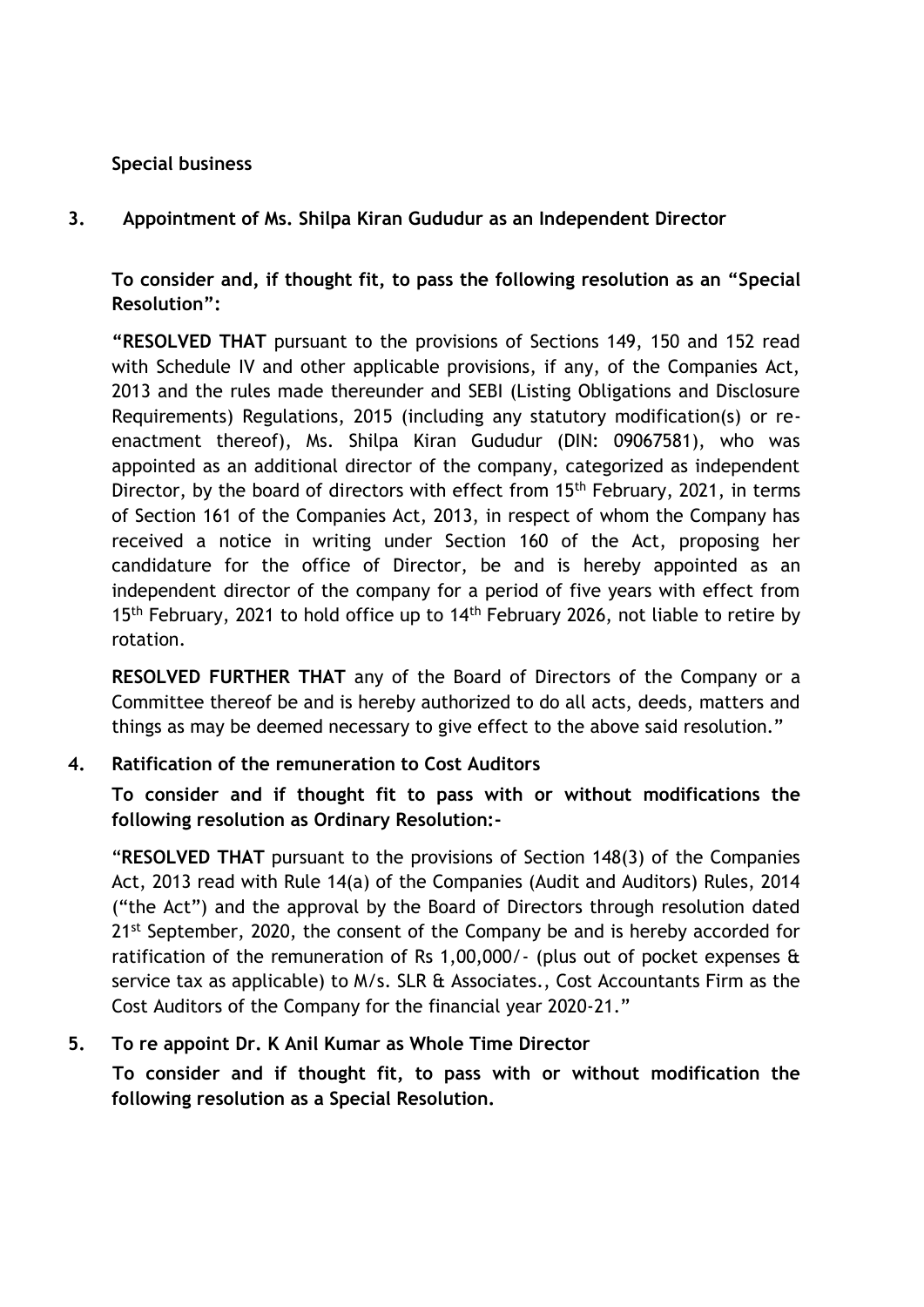### **Special business**

**3. Appointment of Ms. Shilpa Kiran Gududur as an Independent Director** 

**To consider and, if thought fit, to pass the following resolution as an "Special Resolution":**

**"RESOLVED THAT** pursuant to the provisions of Sections 149, 150 and 152 read with Schedule IV and other applicable provisions, if any, of the Companies Act, 2013 and the rules made thereunder and SEBI (Listing Obligations and Disclosure Requirements) Regulations, 2015 (including any statutory modification(s) or reenactment thereof), Ms. Shilpa Kiran Gududur (DIN: 09067581), who was appointed as an additional director of the company, categorized as independent Director, by the board of directors with effect from 15<sup>th</sup> February, 2021, in terms of Section 161 of the Companies Act, 2013, in respect of whom the Company has received a notice in writing under Section 160 of the Act, proposing her candidature for the office of Director, be and is hereby appointed as an independent director of the company for a period of five years with effect from  $15<sup>th</sup>$  February, 2021 to hold office up to  $14<sup>th</sup>$  February 2026, not liable to retire by rotation.

**RESOLVED FURTHER THAT** any of the Board of Directors of the Company or a Committee thereof be and is hereby authorized to do all acts, deeds, matters and things as may be deemed necessary to give effect to the above said resolution."

### **4. Ratification of the remuneration to Cost Auditors**

**To consider and if thought fit to pass with or without modifications the following resolution as Ordinary Resolution:-**

"**RESOLVED THAT** pursuant to the provisions of Section 148(3) of the Companies Act, 2013 read with Rule 14(a) of the Companies (Audit and Auditors) Rules, 2014 ("the Act") and the approval by the Board of Directors through resolution dated 21<sup>st</sup> September, 2020, the consent of the Company be and is hereby accorded for ratification of the remuneration of Rs 1,00,000/- (plus out of pocket expenses & service tax as applicable) to M/s. SLR & Associates., Cost Accountants Firm as the Cost Auditors of the Company for the financial year 2020-21."

# **5. To re appoint Dr. K Anil Kumar as Whole Time Director**

 **To consider and if thought fit, to pass with or without modification the following resolution as a Special Resolution.**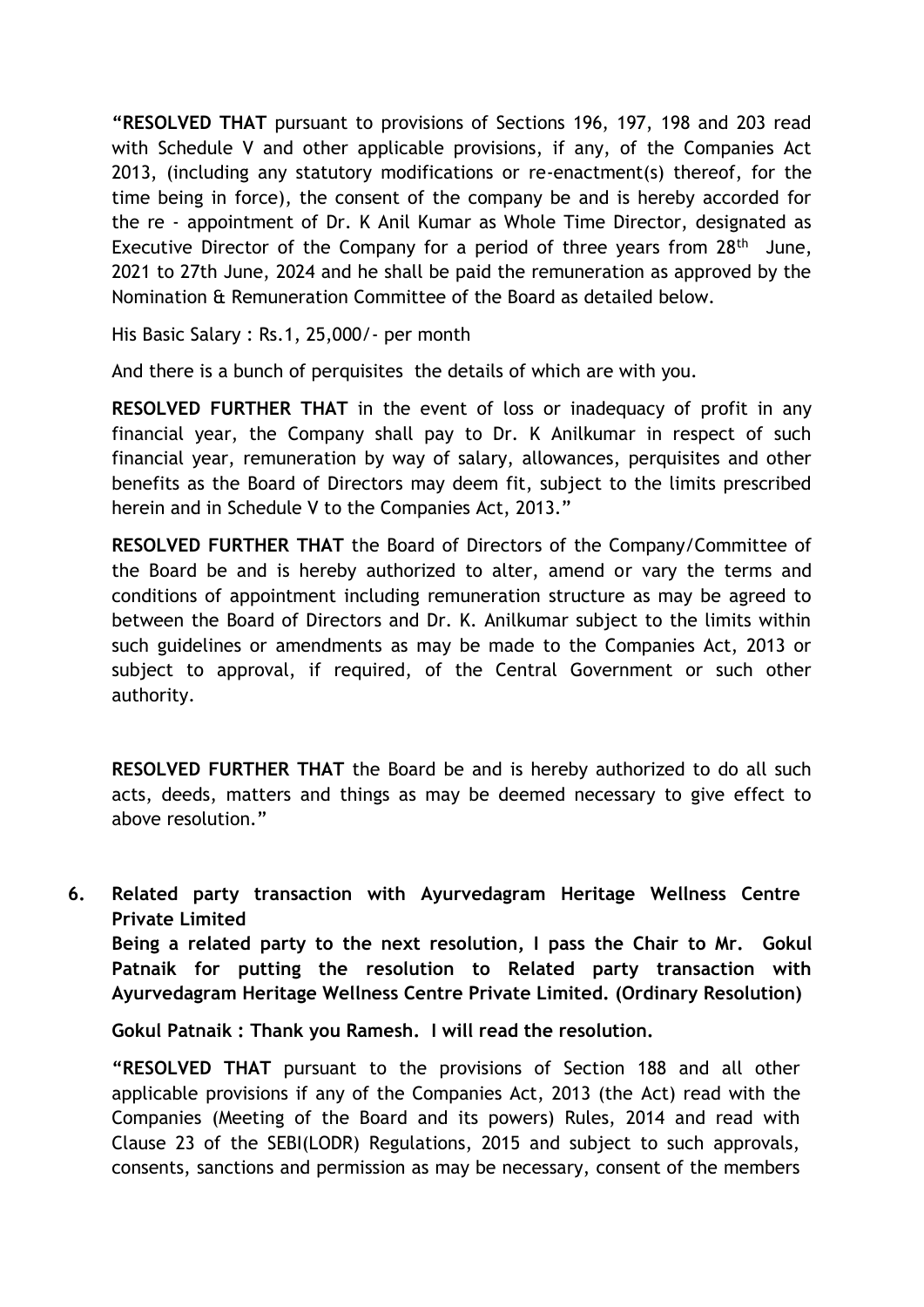**"RESOLVED THAT** pursuant to provisions of Sections 196, 197, 198 and 203 read with Schedule V and other applicable provisions, if any, of the Companies Act 2013, (including any statutory modifications or re-enactment(s) thereof, for the time being in force), the consent of the company be and is hereby accorded for the re - appointment of Dr. K Anil Kumar as Whole Time Director, designated as Executive Director of the Company for a period of three years from 28<sup>th</sup> June, 2021 to 27th June, 2024 and he shall be paid the remuneration as approved by the Nomination & Remuneration Committee of the Board as detailed below.

His Basic Salary : Rs.1, 25,000/- per month

And there is a bunch of perquisites the details of which are with you.

**RESOLVED FURTHER THAT** in the event of loss or inadequacy of profit in any financial year, the Company shall pay to Dr. K Anilkumar in respect of such financial year, remuneration by way of salary, allowances, perquisites and other benefits as the Board of Directors may deem fit, subject to the limits prescribed herein and in Schedule V to the Companies Act, 2013."

**RESOLVED FURTHER THAT** the Board of Directors of the Company/Committee of the Board be and is hereby authorized to alter, amend or vary the terms and conditions of appointment including remuneration structure as may be agreed to between the Board of Directors and Dr. K. Anilkumar subject to the limits within such guidelines or amendments as may be made to the Companies Act, 2013 or subject to approval, if required, of the Central Government or such other authority.

**RESOLVED FURTHER THAT** the Board be and is hereby authorized to do all such acts, deeds, matters and things as may be deemed necessary to give effect to above resolution."

**6. Related party transaction with Ayurvedagram Heritage Wellness Centre Private Limited Being a related party to the next resolution, I pass the Chair to Mr. Gokul Patnaik for putting the resolution to Related party transaction with Ayurvedagram Heritage Wellness Centre Private Limited. (Ordinary Resolution)**

**Gokul Patnaik : Thank you Ramesh. I will read the resolution.** 

**"RESOLVED THAT** pursuant to the provisions of Section 188 and all other applicable provisions if any of the Companies Act, 2013 (the Act) read with the Companies (Meeting of the Board and its powers) Rules, 2014 and read with Clause 23 of the SEBI(LODR) Regulations, 2015 and subject to such approvals, consents, sanctions and permission as may be necessary, consent of the members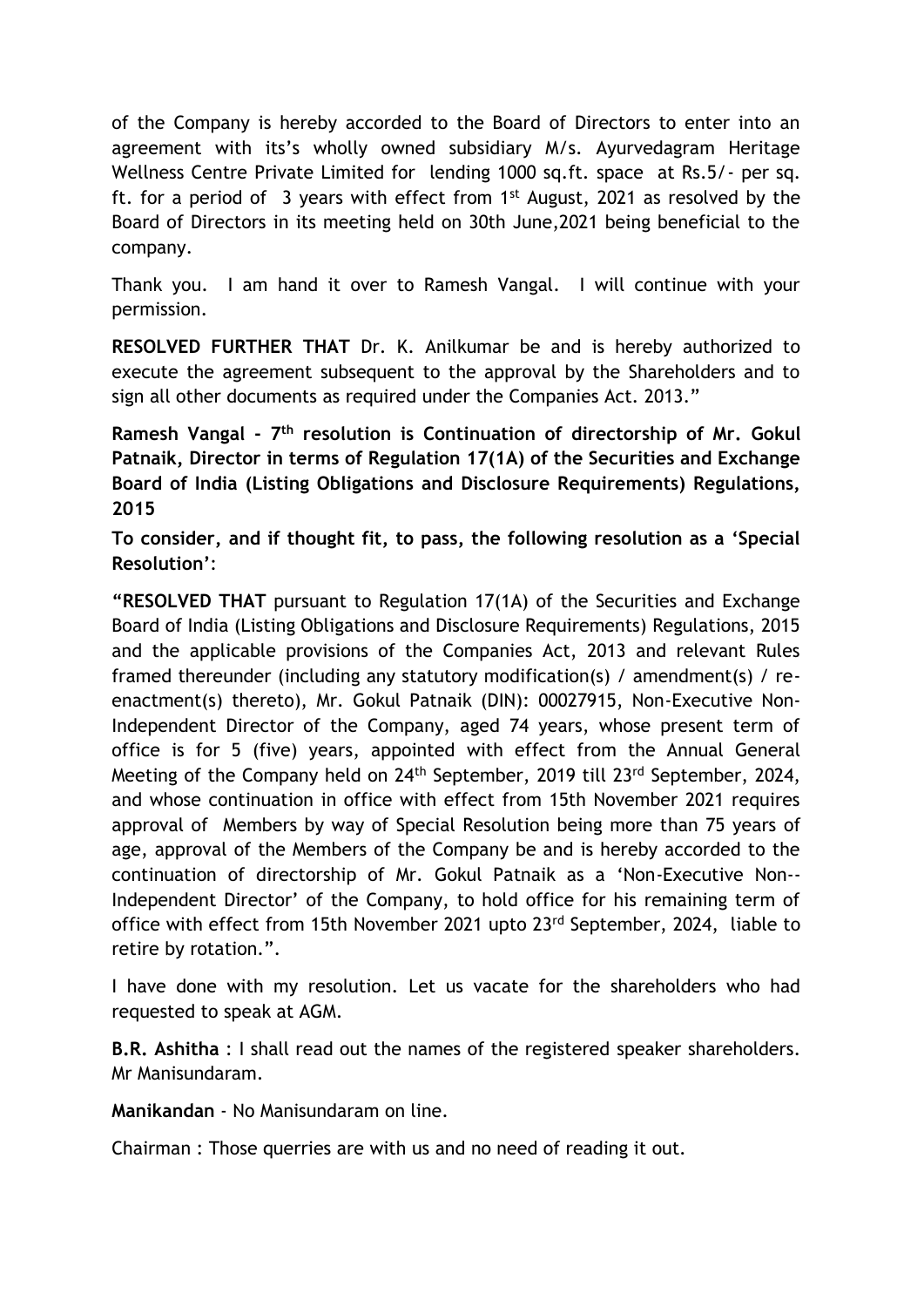of the Company is hereby accorded to the Board of Directors to enter into an agreement with its's wholly owned subsidiary M/s. Ayurvedagram Heritage Wellness Centre Private Limited for lending 1000 sq.ft. space at Rs.5/- per sq. ft. for a period of 3 years with effect from  $1<sup>st</sup>$  August, 2021 as resolved by the Board of Directors in its meeting held on 30th June,2021 being beneficial to the company.

Thank you. I am hand it over to Ramesh Vangal. I will continue with your permission.

**RESOLVED FURTHER THAT** Dr. K. Anilkumar be and is hereby authorized to execute the agreement subsequent to the approval by the Shareholders and to sign all other documents as required under the Companies Act. 2013."

**Ramesh Vangal - 7 th resolution is Continuation of directorship of Mr. Gokul Patnaik, Director in terms of Regulation 17(1A) of the Securities and Exchange Board of India (Listing Obligations and Disclosure Requirements) Regulations, 2015** 

**To consider, and if thought fit, to pass, the following resolution as a 'Special Resolution'**:

**"RESOLVED THAT** pursuant to Regulation 17(1A) of the Securities and Exchange Board of India (Listing Obligations and Disclosure Requirements) Regulations, 2015 and the applicable provisions of the Companies Act, 2013 and relevant Rules framed thereunder (including any statutory modification(s) / amendment(s) / reenactment(s) thereto), Mr. Gokul Patnaik (DIN): 00027915, Non-Executive Non-Independent Director of the Company, aged 74 years, whose present term of office is for 5 (five) years, appointed with effect from the Annual General Meeting of the Company held on 24<sup>th</sup> September, 2019 till 23<sup>rd</sup> September, 2024, and whose continuation in office with effect from 15th November 2021 requires approval of Members by way of Special Resolution being more than 75 years of age, approval of the Members of the Company be and is hereby accorded to the continuation of directorship of Mr. Gokul Patnaik as a 'Non-Executive Non-- Independent Director' of the Company, to hold office for his remaining term of office with effect from 15th November 2021 upto 23<sup>rd</sup> September, 2024, liable to retire by rotation.".

I have done with my resolution. Let us vacate for the shareholders who had requested to speak at AGM.

**B.R. Ashitha** : I shall read out the names of the registered speaker shareholders. Mr Manisundaram.

**Manikandan** - No Manisundaram on line.

Chairman : Those querries are with us and no need of reading it out.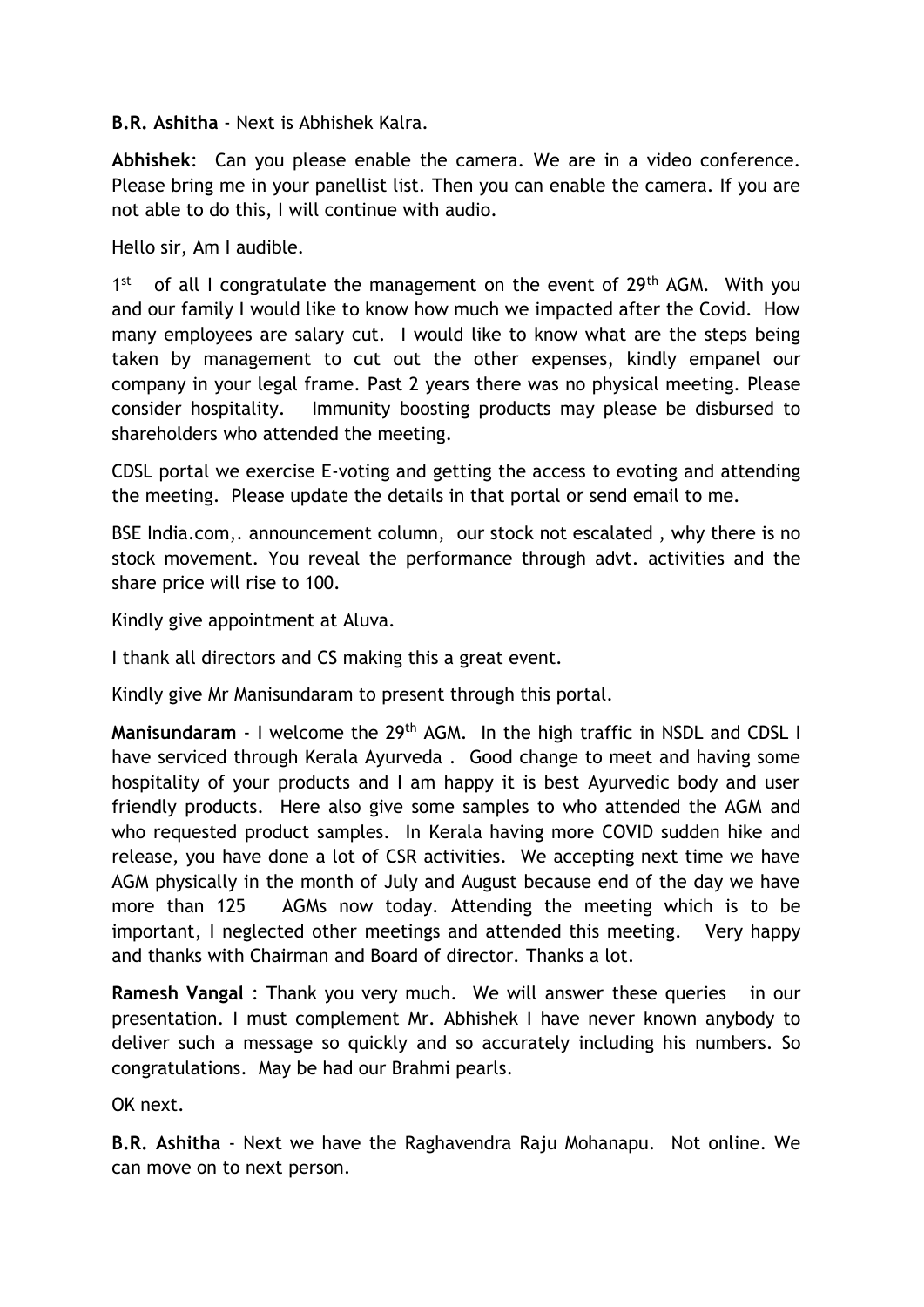**B.R. Ashitha** - Next is Abhishek Kalra.

**Abhishek**: Can you please enable the camera. We are in a video conference. Please bring me in your panellist list. Then you can enable the camera. If you are not able to do this, I will continue with audio.

Hello sir, Am I audible.

1 st of all I congratulate the management on the event of 29<sup>th</sup> AGM. With you and our family I would like to know how much we impacted after the Covid. How many employees are salary cut. I would like to know what are the steps being taken by management to cut out the other expenses, kindly empanel our company in your legal frame. Past 2 years there was no physical meeting. Please consider hospitality. Immunity boosting products may please be disbursed to shareholders who attended the meeting.

CDSL portal we exercise E-voting and getting the access to evoting and attending the meeting. Please update the details in that portal or send email to me.

BSE India.com,. announcement column, our stock not escalated , why there is no stock movement. You reveal the performance through advt. activities and the share price will rise to 100.

Kindly give appointment at Aluva.

I thank all directors and CS making this a great event.

Kindly give Mr Manisundaram to present through this portal.

**Manisundaram** - I welcome the 29<sup>th</sup> AGM. In the high traffic in NSDL and CDSL I have serviced through Kerala Ayurveda . Good change to meet and having some hospitality of your products and I am happy it is best Ayurvedic body and user friendly products. Here also give some samples to who attended the AGM and who requested product samples. In Kerala having more COVID sudden hike and release, you have done a lot of CSR activities. We accepting next time we have AGM physically in the month of July and August because end of the day we have more than 125 AGMs now today. Attending the meeting which is to be important, I neglected other meetings and attended this meeting. Very happy and thanks with Chairman and Board of director. Thanks a lot.

**Ramesh Vangal** : Thank you very much. We will answer these queries in our presentation. I must complement Mr. Abhishek I have never known anybody to deliver such a message so quickly and so accurately including his numbers. So congratulations. May be had our Brahmi pearls.

OK next.

**B.R. Ashitha** - Next we have the Raghavendra Raju Mohanapu. Not online. We can move on to next person.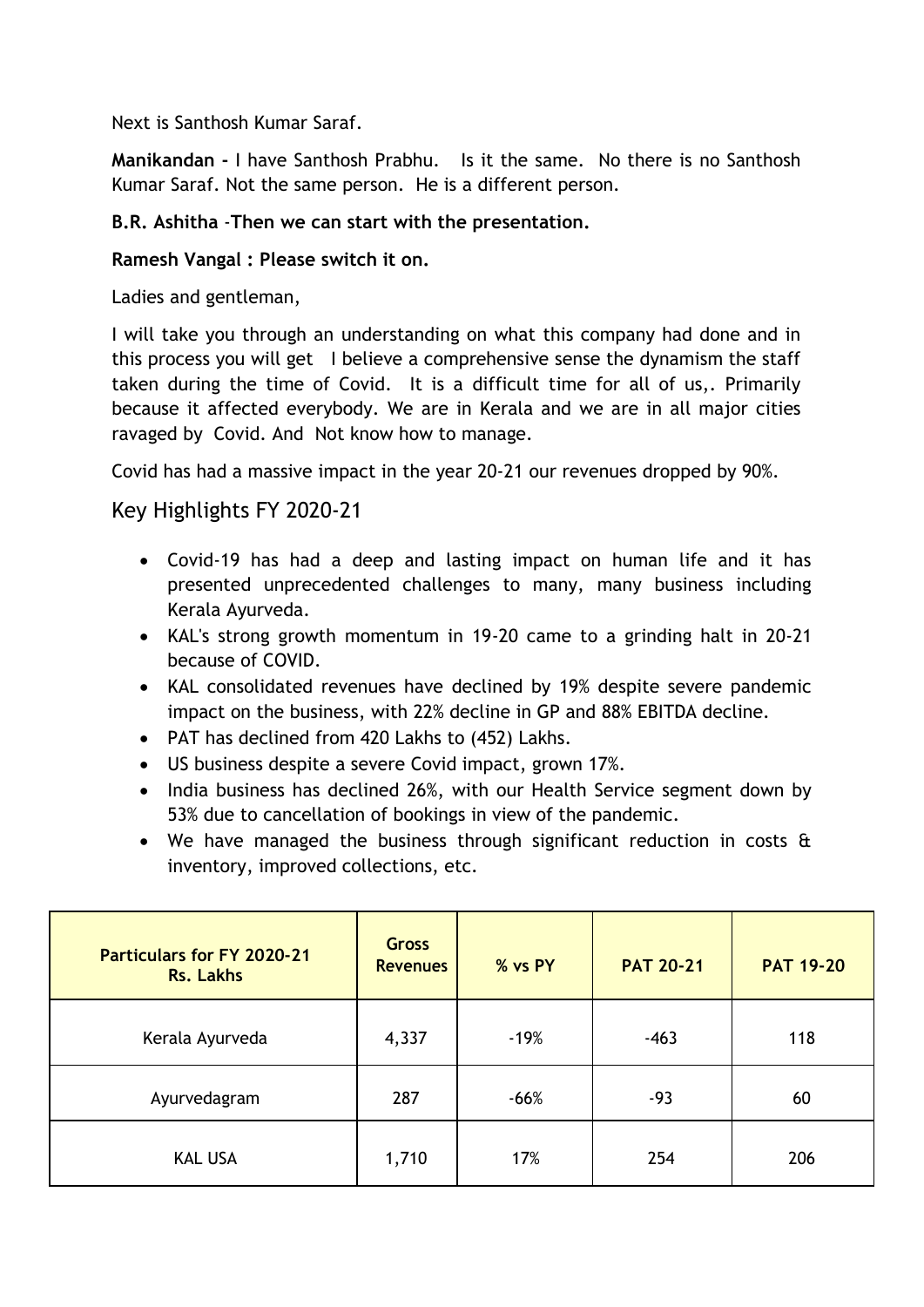Next is Santhosh Kumar Saraf.

**Manikandan -** I have Santhosh Prabhu. Is it the same. No there is no Santhosh Kumar Saraf. Not the same person. He is a different person.

## **B.R. Ashitha** -**Then we can start with the presentation.**

## **Ramesh Vangal : Please switch it on.**

Ladies and gentleman,

I will take you through an understanding on what this company had done and in this process you will get I believe a comprehensive sense the dynamism the staff taken during the time of Covid. It is a difficult time for all of us,. Primarily because it affected everybody. We are in Kerala and we are in all major cities ravaged by Covid. And Not know how to manage.

Covid has had a massive impact in the year 20-21 our revenues dropped by 90%.

# Key Highlights FY 2020-21

- Covid-19 has had a deep and lasting impact on human life and it has presented unprecedented challenges to many, many business including Kerala Ayurveda.
- KAL's strong growth momentum in 19-20 came to a grinding halt in 20-21 because of COVID.
- KAL consolidated revenues have declined by 19% despite severe pandemic impact on the business, with 22% decline in GP and 88% EBITDA decline.
- PAT has declined from 420 Lakhs to (452) Lakhs.
- US business despite a severe Covid impact, grown 17%.
- India business has declined 26%, with our Health Service segment down by 53% due to cancellation of bookings in view of the pandemic.
- We have managed the business through significant reduction in costs & inventory, improved collections, etc.

| <b>Particulars for FY 2020-21</b><br><b>Rs. Lakhs</b> | <b>Gross</b><br><b>Revenues</b> | % vs PY | <b>PAT 20-21</b> | <b>PAT 19-20</b> |  |
|-------------------------------------------------------|---------------------------------|---------|------------------|------------------|--|
| Kerala Ayurveda                                       | 4,337                           | $-19%$  | $-463$           | 118              |  |
| Ayurvedagram                                          | 287                             | $-66%$  | $-93$            | 60               |  |
| <b>KAL USA</b>                                        | 1,710                           | 17%     | 254              | 206              |  |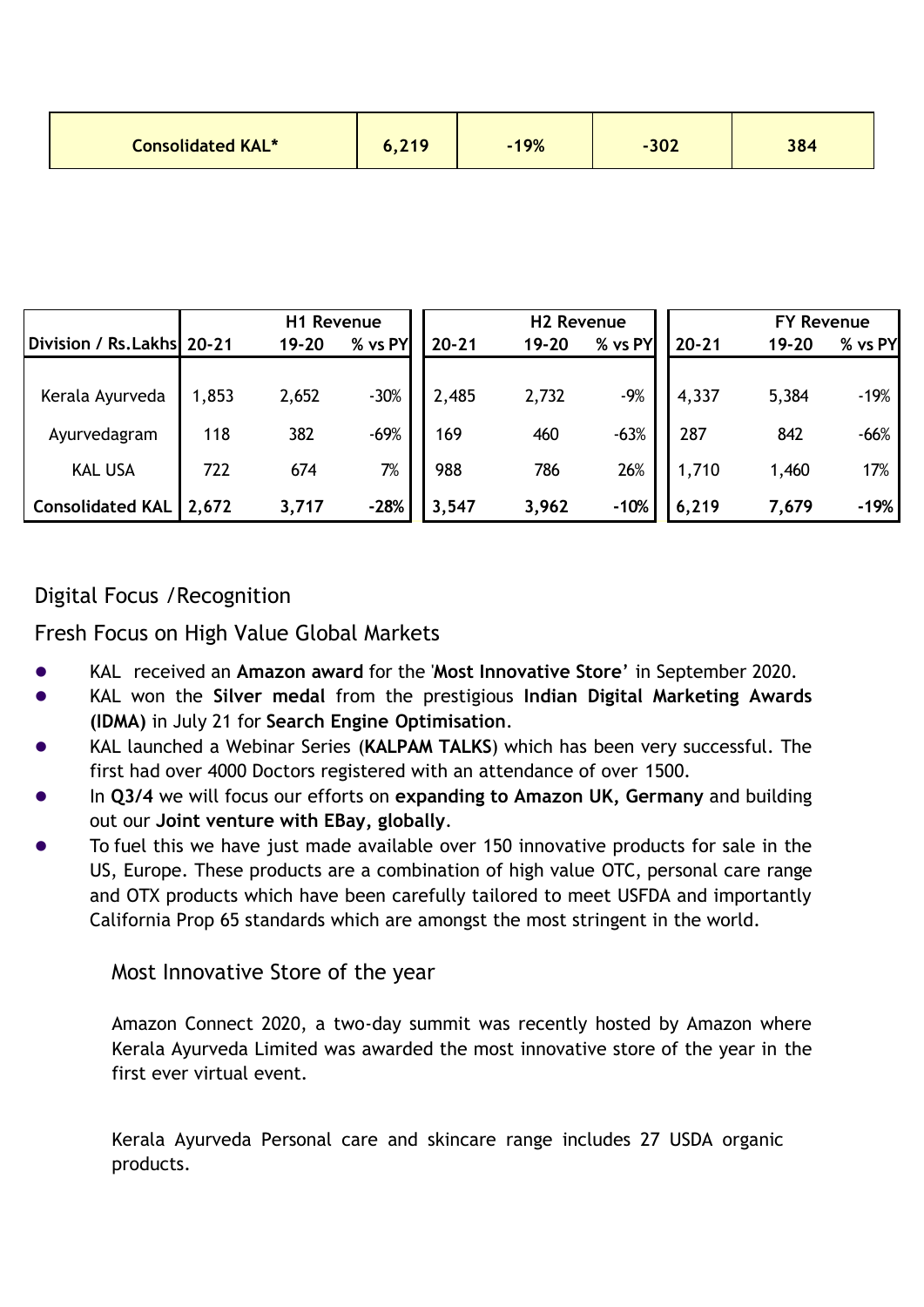|                           | H1 Revenue |       | <b>H2 Revenue</b> |           |           | <b>FY Revenue</b> |           |           |         |
|---------------------------|------------|-------|-------------------|-----------|-----------|-------------------|-----------|-----------|---------|
| Division / Rs.Lakhs 20-21 |            | 19-20 | % vs PY           | $20 - 21$ | $19 - 20$ | % vs PY           | $20 - 21$ | $19 - 20$ | % vs PY |
|                           |            |       |                   |           |           |                   |           |           |         |
| Kerala Ayurveda           | 1,853      | 2,652 | $-30%$            | 2,485     | 2,732     | $-9%$             | 4,337     | 5,384     | $-19%$  |
| Ayurvedagram              | 118        | 382   | $-69%$            | 169       | 460       | $-63%$            | 287       | 842       | $-66%$  |
|                           |            |       |                   |           |           |                   |           |           |         |
| <b>KAL USA</b>            | 722        | 674   | 7%                | 988       | 786       | 26%               | 1,710     | 1,460     | 17%     |
| <b>Consolidated KAL</b>   | 2,672      | 3,717 | $-28%$            | 3,547     | 3,962     | $-10%$            | 6,219     | 7,679     | $-19%$  |

# Digital Focus /Recognition

Fresh Focus on High Value Global Markets

- ⚫ KAL received an **Amazon award** for the '**Most Innovative Store**' in September 2020.
- ⚫ KAL won the **Silver medal** from the prestigious **Indian Digital Marketing Awards (IDMA)** in July 21 for **Search Engine Optimisation**.
- ⚫ KAL launched a Webinar Series (**KALPAM TALKS**) which has been very successful. The first had over 4000 Doctors registered with an attendance of over 1500.
- ⚫ In **Q3/4** we will focus our efforts on **expanding to Amazon UK, Germany** and building out our **Joint venture with EBay, globally**.
- ⚫ To fuel this we have just made available over 150 innovative products for sale in the US, Europe. These products are a combination of high value OTC, personal care range and OTX products which have been carefully tailored to meet USFDA and importantly California Prop 65 standards which are amongst the most stringent in the world.

# Most Innovative Store of the year

Amazon Connect 2020, a two-day summit was recently hosted by Amazon where Kerala Ayurveda Limited was awarded the most innovative store of the year in the first ever virtual event.

Kerala Ayurveda Personal care and skincare range includes 27 USDA organic products.